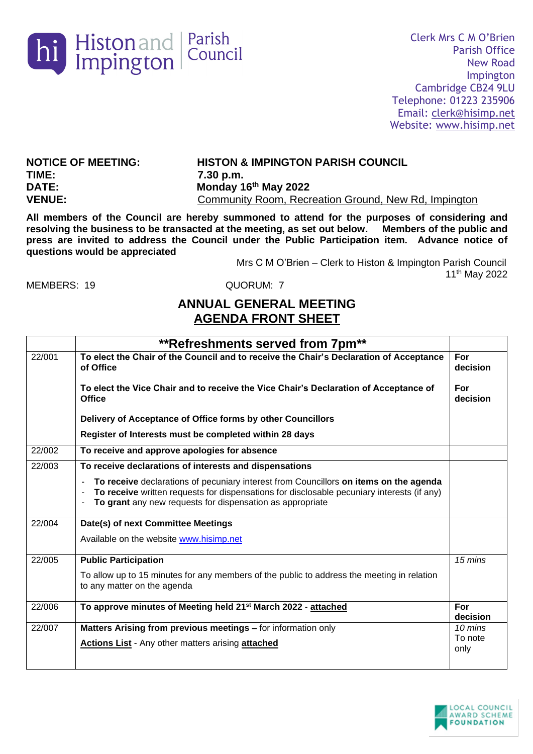

**TIME: 7.30 p.m. DATE: Monday 16th May 2022**

**NOTICE OF MEETING: HISTON & IMPINGTON PARISH COUNCIL VENUE:** Community Room, Recreation Ground, New Rd, Impington

**All members of the Council are hereby summoned to attend for the purposes of considering and resolving the business to be transacted at the meeting, as set out below. Members of the public and press are invited to address the Council under the Public Participation item. Advance notice of questions would be appreciated**

> Mrs C M O'Brien – Clerk to Histon & Impington Parish Council 11th May 2022

MEMBERS: 19 QUORUM: 7

## **ANNUAL GENERAL MEETING AGENDA FRONT SHEET**

|        | **Refreshments served from 7pm**                                                                                                                                                                                                                 |                 |
|--------|--------------------------------------------------------------------------------------------------------------------------------------------------------------------------------------------------------------------------------------------------|-----------------|
| 22/001 | To elect the Chair of the Council and to receive the Chair's Declaration of Acceptance<br>of Office                                                                                                                                              | For<br>decision |
|        | To elect the Vice Chair and to receive the Vice Chair's Declaration of Acceptance of<br><b>Office</b>                                                                                                                                            | For<br>decision |
|        | Delivery of Acceptance of Office forms by other Councillors                                                                                                                                                                                      |                 |
|        | Register of Interests must be completed within 28 days                                                                                                                                                                                           |                 |
| 22/002 | To receive and approve apologies for absence                                                                                                                                                                                                     |                 |
| 22/003 | To receive declarations of interests and dispensations                                                                                                                                                                                           |                 |
|        | To receive declarations of pecuniary interest from Councillors on items on the agenda<br>To receive written requests for dispensations for disclosable pecuniary interests (if any)<br>To grant any new requests for dispensation as appropriate |                 |
| 22/004 | Date(s) of next Committee Meetings                                                                                                                                                                                                               |                 |
|        | Available on the website www.hisimp.net                                                                                                                                                                                                          |                 |
| 22/005 | <b>Public Participation</b>                                                                                                                                                                                                                      | 15 mins         |
|        | To allow up to 15 minutes for any members of the public to address the meeting in relation<br>to any matter on the agenda                                                                                                                        |                 |
| 22/006 | To approve minutes of Meeting held 21 <sup>st</sup> March 2022 - attached                                                                                                                                                                        | For<br>decision |
| 22/007 | Matters Arising from previous meetings - for information only                                                                                                                                                                                    | 10 mins         |
|        | <b>Actions List - Any other matters arising attached</b>                                                                                                                                                                                         | To note<br>only |

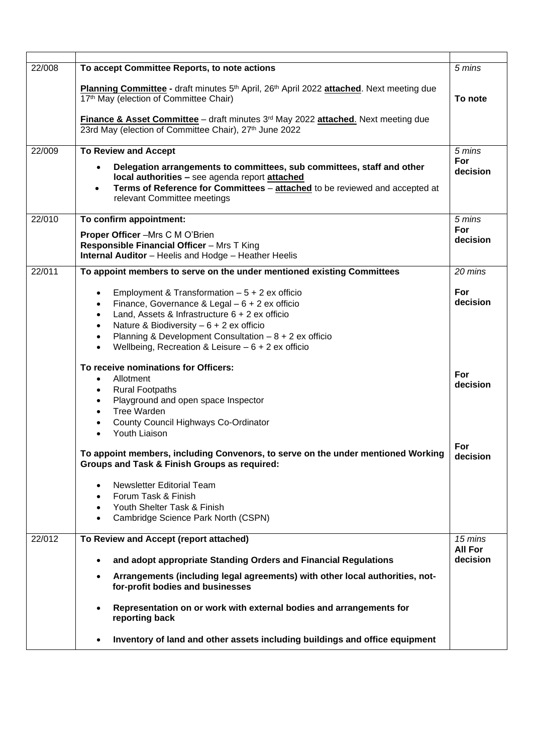| 22/008 | To accept Committee Reports, to note actions                                                                                                                              | 5 mins          |
|--------|---------------------------------------------------------------------------------------------------------------------------------------------------------------------------|-----------------|
|        | Planning Committee - draft minutes 5 <sup>th</sup> April, 26 <sup>th</sup> April 2022 attached. Next meeting due<br>17th May (election of Committee Chair)                | To note         |
|        | Finance & Asset Committee - draft minutes 3 <sup>rd</sup> May 2022 attached. Next meeting due<br>23rd May (election of Committee Chair), 27th June 2022                   |                 |
| 22/009 | <b>To Review and Accept</b>                                                                                                                                               | 5 mins          |
|        | Delegation arrangements to committees, sub committees, staff and other                                                                                                    | For<br>decision |
|        | local authorities - see agenda report attached<br>Terms of Reference for Committees - attached to be reviewed and accepted at<br>$\bullet$<br>relevant Committee meetings |                 |
| 22/010 | To confirm appointment:                                                                                                                                                   | 5 mins          |
|        | Proper Officer -Mrs C M O'Brien                                                                                                                                           | For             |
|        | Responsible Financial Officer - Mrs T King                                                                                                                                | decision        |
|        | Internal Auditor - Heelis and Hodge - Heather Heelis                                                                                                                      |                 |
| 22/011 | To appoint members to serve on the under mentioned existing Committees                                                                                                    | 20 mins         |
|        |                                                                                                                                                                           |                 |
|        | Employment & Transformation $-5 + 2$ ex officio<br>$\bullet$                                                                                                              | For             |
|        | Finance, Governance & Legal - 6 + 2 ex officio<br>$\bullet$                                                                                                               | decision        |
|        | Land, Assets & Infrastructure $6 + 2$ ex officio<br>$\bullet$                                                                                                             |                 |
|        | Nature & Biodiversity $-6 + 2$ ex officio<br>$\bullet$                                                                                                                    |                 |
|        | Planning & Development Consultation $-8 + 2$ ex officio<br>$\bullet$                                                                                                      |                 |
|        | Wellbeing, Recreation & Leisure $-6 + 2$ ex officio<br>$\bullet$                                                                                                          |                 |
|        | To receive nominations for Officers:                                                                                                                                      |                 |
|        | Allotment<br>$\bullet$                                                                                                                                                    | For             |
|        | <b>Rural Footpaths</b><br>$\bullet$                                                                                                                                       | decision        |
|        | Playground and open space Inspector<br>$\bullet$                                                                                                                          |                 |
|        | Tree Warden<br>$\bullet$                                                                                                                                                  |                 |
|        | County Council Highways Co-Ordinator                                                                                                                                      |                 |
|        | Youth Liaison                                                                                                                                                             |                 |
|        |                                                                                                                                                                           | For             |
|        | To appoint members, including Convenors, to serve on the under mentioned Working<br><b>Groups and Task &amp; Finish Groups as required:</b>                               | decision        |
|        | <b>Newsletter Editorial Team</b>                                                                                                                                          |                 |
|        | Forum Task & Finish<br>$\bullet$                                                                                                                                          |                 |
|        | Youth Shelter Task & Finish<br>$\bullet$                                                                                                                                  |                 |
|        | Cambridge Science Park North (CSPN)<br>$\bullet$                                                                                                                          |                 |
| 22/012 |                                                                                                                                                                           | 15 mins         |
|        | To Review and Accept (report attached)                                                                                                                                    | <b>All For</b>  |
|        | and adopt appropriate Standing Orders and Financial Regulations                                                                                                           | decision        |
|        | Arrangements (including legal agreements) with other local authorities, not-<br>$\bullet$<br>for-profit bodies and businesses                                             |                 |
|        | Representation on or work with external bodies and arrangements for<br>reporting back                                                                                     |                 |
|        | Inventory of land and other assets including buildings and office equipment                                                                                               |                 |